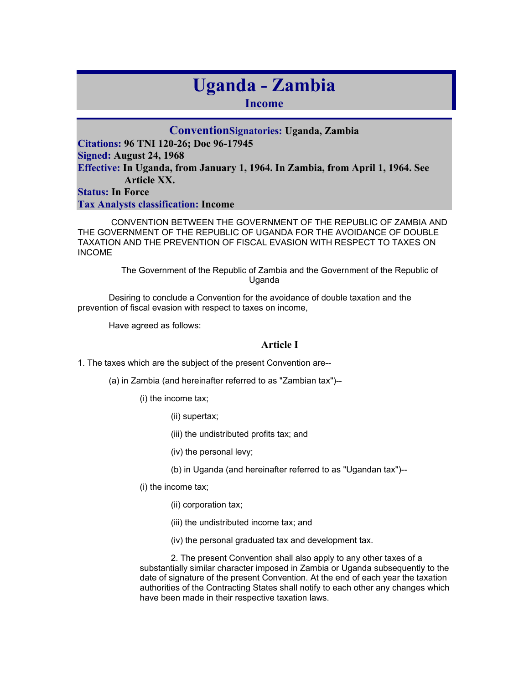# **Uganda - Zambia**

**Income** 

**ConventionSignatories: Uganda, Zambia Citations: 96 TNI 120-26; Doc 96-17945 Signed: August 24, 1968 Effective: In Uganda, from January 1, 1964. In Zambia, from April 1, 1964. See Article XX. Status: In Force Tax Analysts classification: Income** 

 CONVENTION BETWEEN THE GOVERNMENT OF THE REPUBLIC OF ZAMBIA AND THE GOVERNMENT OF THE REPUBLIC OF UGANDA FOR THE AVOIDANCE OF DOUBLE TAXATION AND THE PREVENTION OF FISCAL EVASION WITH RESPECT TO TAXES ON INCOME

> The Government of the Republic of Zambia and the Government of the Republic of Uganda

Desiring to conclude a Convention for the avoidance of double taxation and the prevention of fiscal evasion with respect to taxes on income,

Have agreed as follows:

# **Article I**

1. The taxes which are the subject of the present Convention are--

(a) in Zambia (and hereinafter referred to as "Zambian tax")--

(i) the income tax;

(ii) supertax;

(iii) the undistributed profits tax; and

(iv) the personal levy;

(b) in Uganda (and hereinafter referred to as "Ugandan tax")--

(i) the income tax;

(ii) corporation tax;

(iii) the undistributed income tax; and

(iv) the personal graduated tax and development tax.

2. The present Convention shall also apply to any other taxes of a substantially similar character imposed in Zambia or Uganda subsequently to the date of signature of the present Convention. At the end of each year the taxation authorities of the Contracting States shall notify to each other any changes which have been made in their respective taxation laws.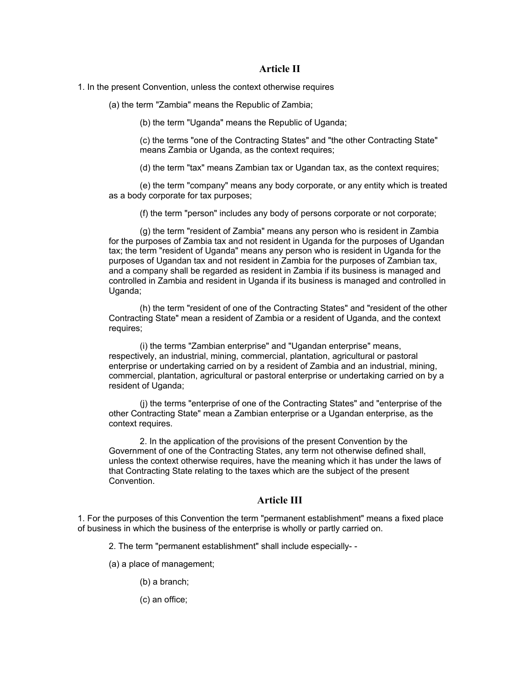#### **Article II**

1. In the present Convention, unless the context otherwise requires

(a) the term "Zambia" means the Republic of Zambia;

(b) the term "Uganda" means the Republic of Uganda;

(c) the terms "one of the Contracting States" and "the other Contracting State" means Zambia or Uganda, as the context requires;

(d) the term "tax" means Zambian tax or Ugandan tax, as the context requires;

(e) the term "company" means any body corporate, or any entity which is treated as a body corporate for tax purposes;

(f) the term "person" includes any body of persons corporate or not corporate;

(g) the term "resident of Zambia" means any person who is resident in Zambia for the purposes of Zambia tax and not resident in Uganda for the purposes of Ugandan tax; the term "resident of Uganda" means any person who is resident in Uganda for the purposes of Ugandan tax and not resident in Zambia for the purposes of Zambian tax, and a company shall be regarded as resident in Zambia if its business is managed and controlled in Zambia and resident in Uganda if its business is managed and controlled in Uganda;

(h) the term "resident of one of the Contracting States" and "resident of the other Contracting State" mean a resident of Zambia or a resident of Uganda, and the context requires;

(i) the terms "Zambian enterprise" and "Ugandan enterprise" means, respectively, an industrial, mining, commercial, plantation, agricultural or pastoral enterprise or undertaking carried on by a resident of Zambia and an industrial, mining, commercial, plantation, agricultural or pastoral enterprise or undertaking carried on by a resident of Uganda;

(j) the terms "enterprise of one of the Contracting States" and "enterprise of the other Contracting State" mean a Zambian enterprise or a Ugandan enterprise, as the context requires.

2. In the application of the provisions of the present Convention by the Government of one of the Contracting States, any term not otherwise defined shall, unless the context otherwise requires, have the meaning which it has under the laws of that Contracting State relating to the taxes which are the subject of the present Convention.

# **Article III**

1. For the purposes of this Convention the term "permanent establishment" means a fixed place of business in which the business of the enterprise is wholly or partly carried on.

2. The term "permanent establishment" shall include especially- -

(a) a place of management;

(b) a branch;

(c) an office;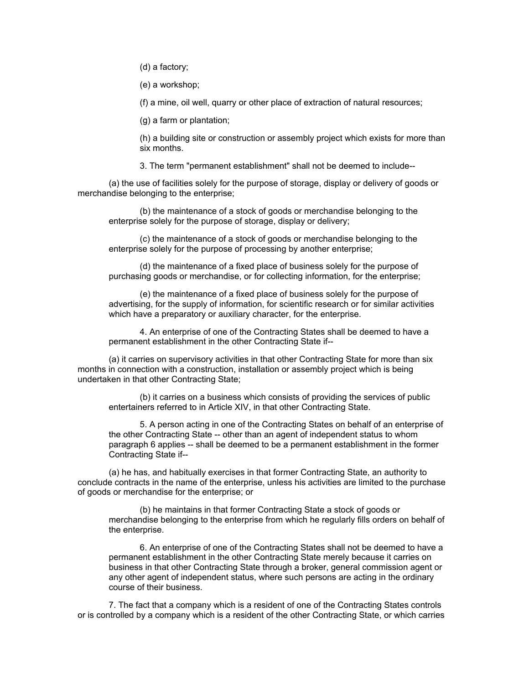(d) a factory;

(e) a workshop;

(f) a mine, oil well, quarry or other place of extraction of natural resources;

(g) a farm or plantation;

(h) a building site or construction or assembly project which exists for more than six months.

3. The term "permanent establishment" shall not be deemed to include--

(a) the use of facilities solely for the purpose of storage, display or delivery of goods or merchandise belonging to the enterprise;

(b) the maintenance of a stock of goods or merchandise belonging to the enterprise solely for the purpose of storage, display or delivery;

(c) the maintenance of a stock of goods or merchandise belonging to the enterprise solely for the purpose of processing by another enterprise;

(d) the maintenance of a fixed place of business solely for the purpose of purchasing goods or merchandise, or for collecting information, for the enterprise;

(e) the maintenance of a fixed place of business solely for the purpose of advertising, for the supply of information, for scientific research or for similar activities which have a preparatory or auxiliary character, for the enterprise.

4. An enterprise of one of the Contracting States shall be deemed to have a permanent establishment in the other Contracting State if--

(a) it carries on supervisory activities in that other Contracting State for more than six months in connection with a construction, installation or assembly project which is being undertaken in that other Contracting State;

(b) it carries on a business which consists of providing the services of public entertainers referred to in Article XIV, in that other Contracting State.

5. A person acting in one of the Contracting States on behalf of an enterprise of the other Contracting State -- other than an agent of independent status to whom paragraph 6 applies -- shall be deemed to be a permanent establishment in the former Contracting State if--

(a) he has, and habitually exercises in that former Contracting State, an authority to conclude contracts in the name of the enterprise, unless his activities are limited to the purchase of goods or merchandise for the enterprise; or

(b) he maintains in that former Contracting State a stock of goods or merchandise belonging to the enterprise from which he regularly fills orders on behalf of the enterprise.

6. An enterprise of one of the Contracting States shall not be deemed to have a permanent establishment in the other Contracting State merely because it carries on business in that other Contracting State through a broker, general commission agent or any other agent of independent status, where such persons are acting in the ordinary course of their business.

7. The fact that a company which is a resident of one of the Contracting States controls or is controlled by a company which is a resident of the other Contracting State, or which carries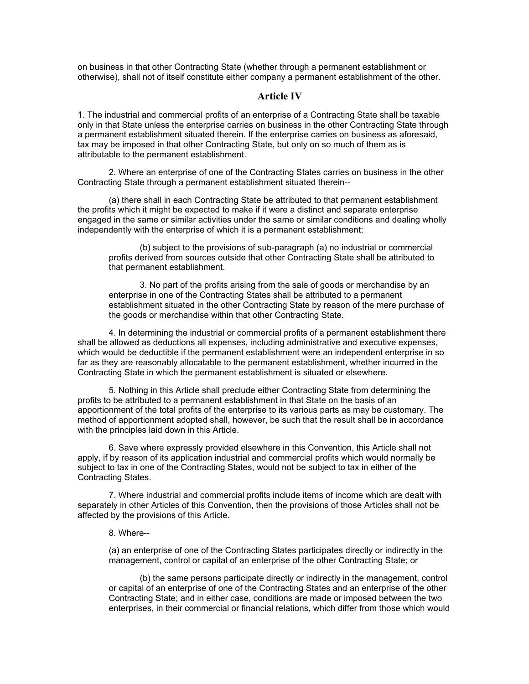on business in that other Contracting State (whether through a permanent establishment or otherwise), shall not of itself constitute either company a permanent establishment of the other.

#### **Article IV**

1. The industrial and commercial profits of an enterprise of a Contracting State shall be taxable only in that State unless the enterprise carries on business in the other Contracting State through a permanent establishment situated therein. If the enterprise carries on business as aforesaid, tax may be imposed in that other Contracting State, but only on so much of them as is attributable to the permanent establishment.

2. Where an enterprise of one of the Contracting States carries on business in the other Contracting State through a permanent establishment situated therein--

(a) there shall in each Contracting State be attributed to that permanent establishment the profits which it might be expected to make if it were a distinct and separate enterprise engaged in the same or similar activities under the same or similar conditions and dealing wholly independently with the enterprise of which it is a permanent establishment;

(b) subject to the provisions of sub-paragraph (a) no industrial or commercial profits derived from sources outside that other Contracting State shall be attributed to that permanent establishment.

3. No part of the profits arising from the sale of goods or merchandise by an enterprise in one of the Contracting States shall be attributed to a permanent establishment situated in the other Contracting State by reason of the mere purchase of the goods or merchandise within that other Contracting State.

4. In determining the industrial or commercial profits of a permanent establishment there shall be allowed as deductions all expenses, including administrative and executive expenses, which would be deductible if the permanent establishment were an independent enterprise in so far as they are reasonably allocatable to the permanent establishment, whether incurred in the Contracting State in which the permanent establishment is situated or elsewhere.

5. Nothing in this Article shall preclude either Contracting State from determining the profits to be attributed to a permanent establishment in that State on the basis of an apportionment of the total profits of the enterprise to its various parts as may be customary. The method of apportionment adopted shall, however, be such that the result shall be in accordance with the principles laid down in this Article.

6. Save where expressly provided elsewhere in this Convention, this Article shall not apply, if by reason of its application industrial and commercial profits which would normally be subject to tax in one of the Contracting States, would not be subject to tax in either of the Contracting States.

7. Where industrial and commercial profits include items of income which are dealt with separately in other Articles of this Convention, then the provisions of those Articles shall not be affected by the provisions of this Article.

## 8. Where--

(a) an enterprise of one of the Contracting States participates directly or indirectly in the management, control or capital of an enterprise of the other Contracting State; or

(b) the same persons participate directly or indirectly in the management, control or capital of an enterprise of one of the Contracting States and an enterprise of the other Contracting State; and in either case, conditions are made or imposed between the two enterprises, in their commercial or financial relations, which differ from those which would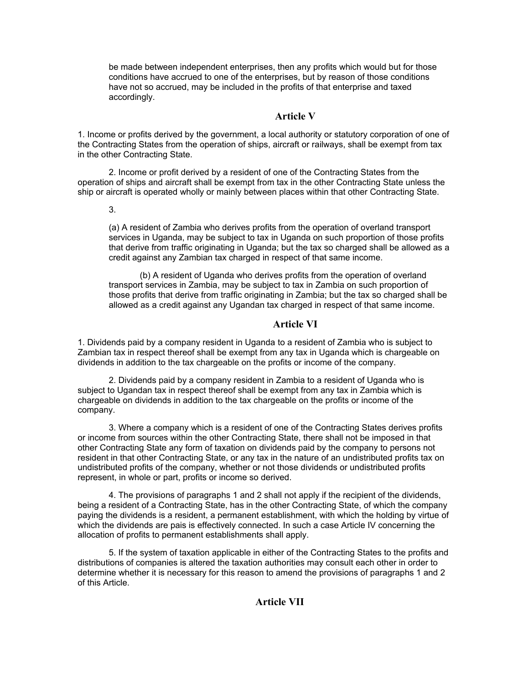be made between independent enterprises, then any profits which would but for those conditions have accrued to one of the enterprises, but by reason of those conditions have not so accrued, may be included in the profits of that enterprise and taxed accordingly.

## **Article V**

1. Income or profits derived by the government, a local authority or statutory corporation of one of the Contracting States from the operation of ships, aircraft or railways, shall be exempt from tax in the other Contracting State.

2. Income or profit derived by a resident of one of the Contracting States from the operation of ships and aircraft shall be exempt from tax in the other Contracting State unless the ship or aircraft is operated wholly or mainly between places within that other Contracting State.

3.

(a) A resident of Zambia who derives profits from the operation of overland transport services in Uganda, may be subject to tax in Uganda on such proportion of those profits that derive from traffic originating in Uganda; but the tax so charged shall be allowed as a credit against any Zambian tax charged in respect of that same income.

(b) A resident of Uganda who derives profits from the operation of overland transport services in Zambia, may be subject to tax in Zambia on such proportion of those profits that derive from traffic originating in Zambia; but the tax so charged shall be allowed as a credit against any Ugandan tax charged in respect of that same income.

# **Article VI**

1. Dividends paid by a company resident in Uganda to a resident of Zambia who is subject to Zambian tax in respect thereof shall be exempt from any tax in Uganda which is chargeable on dividends in addition to the tax chargeable on the profits or income of the company.

2. Dividends paid by a company resident in Zambia to a resident of Uganda who is subject to Ugandan tax in respect thereof shall be exempt from any tax in Zambia which is chargeable on dividends in addition to the tax chargeable on the profits or income of the company.

3. Where a company which is a resident of one of the Contracting States derives profits or income from sources within the other Contracting State, there shall not be imposed in that other Contracting State any form of taxation on dividends paid by the company to persons not resident in that other Contracting State, or any tax in the nature of an undistributed profits tax on undistributed profits of the company, whether or not those dividends or undistributed profits represent, in whole or part, profits or income so derived.

4. The provisions of paragraphs 1 and 2 shall not apply if the recipient of the dividends, being a resident of a Contracting State, has in the other Contracting State, of which the company paying the dividends is a resident, a permanent establishment, with which the holding by virtue of which the dividends are pais is effectively connected. In such a case Article IV concerning the allocation of profits to permanent establishments shall apply.

5. If the system of taxation applicable in either of the Contracting States to the profits and distributions of companies is altered the taxation authorities may consult each other in order to determine whether it is necessary for this reason to amend the provisions of paragraphs 1 and 2 of this Article.

# **Article VII**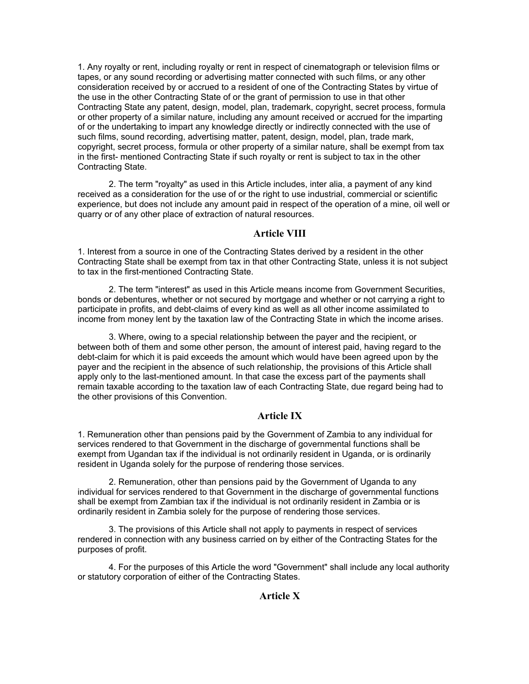1. Any royalty or rent, including royalty or rent in respect of cinematograph or television films or tapes, or any sound recording or advertising matter connected with such films, or any other consideration received by or accrued to a resident of one of the Contracting States by virtue of the use in the other Contracting State of or the grant of permission to use in that other Contracting State any patent, design, model, plan, trademark, copyright, secret process, formula or other property of a similar nature, including any amount received or accrued for the imparting of or the undertaking to impart any knowledge directly or indirectly connected with the use of such films, sound recording, advertising matter, patent, design, model, plan, trade mark, copyright, secret process, formula or other property of a similar nature, shall be exempt from tax in the first- mentioned Contracting State if such royalty or rent is subject to tax in the other Contracting State.

2. The term "royalty" as used in this Article includes, inter alia, a payment of any kind received as a consideration for the use of or the right to use industrial, commercial or scientific experience, but does not include any amount paid in respect of the operation of a mine, oil well or quarry or of any other place of extraction of natural resources.

## **Article VIII**

1. Interest from a source in one of the Contracting States derived by a resident in the other Contracting State shall be exempt from tax in that other Contracting State, unless it is not subject to tax in the first-mentioned Contracting State.

2. The term "interest" as used in this Article means income from Government Securities, bonds or debentures, whether or not secured by mortgage and whether or not carrying a right to participate in profits, and debt-claims of every kind as well as all other income assimilated to income from money lent by the taxation law of the Contracting State in which the income arises.

3. Where, owing to a special relationship between the payer and the recipient, or between both of them and some other person, the amount of interest paid, having regard to the debt-claim for which it is paid exceeds the amount which would have been agreed upon by the payer and the recipient in the absence of such relationship, the provisions of this Article shall apply only to the last-mentioned amount. In that case the excess part of the payments shall remain taxable according to the taxation law of each Contracting State, due regard being had to the other provisions of this Convention.

# **Article IX**

1. Remuneration other than pensions paid by the Government of Zambia to any individual for services rendered to that Government in the discharge of governmental functions shall be exempt from Ugandan tax if the individual is not ordinarily resident in Uganda, or is ordinarily resident in Uganda solely for the purpose of rendering those services.

2. Remuneration, other than pensions paid by the Government of Uganda to any individual for services rendered to that Government in the discharge of governmental functions shall be exempt from Zambian tax if the individual is not ordinarily resident in Zambia or is ordinarily resident in Zambia solely for the purpose of rendering those services.

3. The provisions of this Article shall not apply to payments in respect of services rendered in connection with any business carried on by either of the Contracting States for the purposes of profit.

4. For the purposes of this Article the word "Government" shall include any local authority or statutory corporation of either of the Contracting States.

# **Article X**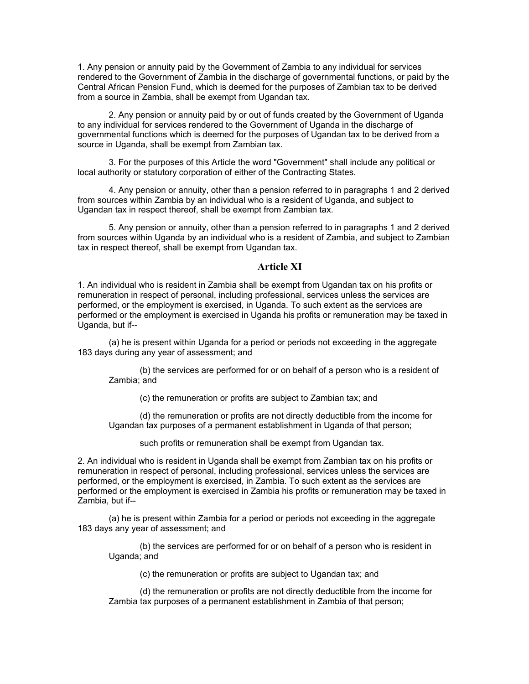1. Any pension or annuity paid by the Government of Zambia to any individual for services rendered to the Government of Zambia in the discharge of governmental functions, or paid by the Central African Pension Fund, which is deemed for the purposes of Zambian tax to be derived from a source in Zambia, shall be exempt from Ugandan tax.

2. Any pension or annuity paid by or out of funds created by the Government of Uganda to any individual for services rendered to the Government of Uganda in the discharge of governmental functions which is deemed for the purposes of Ugandan tax to be derived from a source in Uganda, shall be exempt from Zambian tax.

3. For the purposes of this Article the word "Government" shall include any political or local authority or statutory corporation of either of the Contracting States.

4. Any pension or annuity, other than a pension referred to in paragraphs 1 and 2 derived from sources within Zambia by an individual who is a resident of Uganda, and subject to Ugandan tax in respect thereof, shall be exempt from Zambian tax.

5. Any pension or annuity, other than a pension referred to in paragraphs 1 and 2 derived from sources within Uganda by an individual who is a resident of Zambia, and subject to Zambian tax in respect thereof, shall be exempt from Ugandan tax.

## **Article XI**

1. An individual who is resident in Zambia shall be exempt from Ugandan tax on his profits or remuneration in respect of personal, including professional, services unless the services are performed, or the employment is exercised, in Uganda. To such extent as the services are performed or the employment is exercised in Uganda his profits or remuneration may be taxed in Uganda, but if--

(a) he is present within Uganda for a period or periods not exceeding in the aggregate 183 days during any year of assessment; and

(b) the services are performed for or on behalf of a person who is a resident of Zambia; and

(c) the remuneration or profits are subject to Zambian tax; and

(d) the remuneration or profits are not directly deductible from the income for Ugandan tax purposes of a permanent establishment in Uganda of that person;

such profits or remuneration shall be exempt from Ugandan tax.

2. An individual who is resident in Uganda shall be exempt from Zambian tax on his profits or remuneration in respect of personal, including professional, services unless the services are performed, or the employment is exercised, in Zambia. To such extent as the services are performed or the employment is exercised in Zambia his profits or remuneration may be taxed in Zambia, but if--

(a) he is present within Zambia for a period or periods not exceeding in the aggregate 183 days any year of assessment; and

(b) the services are performed for or on behalf of a person who is resident in Uganda; and

(c) the remuneration or profits are subject to Ugandan tax; and

(d) the remuneration or profits are not directly deductible from the income for Zambia tax purposes of a permanent establishment in Zambia of that person;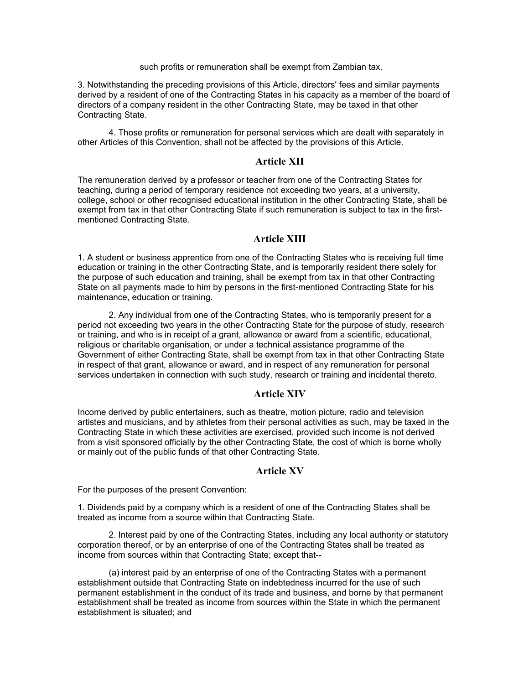such profits or remuneration shall be exempt from Zambian tax.

3. Notwithstanding the preceding provisions of this Article, directors' fees and similar payments derived by a resident of one of the Contracting States in his capacity as a member of the board of directors of a company resident in the other Contracting State, may be taxed in that other Contracting State.

4. Those profits or remuneration for personal services which are dealt with separately in other Articles of this Convention, shall not be affected by the provisions of this Article.

## **Article XII**

The remuneration derived by a professor or teacher from one of the Contracting States for teaching, during a period of temporary residence not exceeding two years, at a university, college, school or other recognised educational institution in the other Contracting State, shall be exempt from tax in that other Contracting State if such remuneration is subject to tax in the firstmentioned Contracting State.

# **Article XIII**

1. A student or business apprentice from one of the Contracting States who is receiving full time education or training in the other Contracting State, and is temporarily resident there solely for the purpose of such education and training, shall be exempt from tax in that other Contracting State on all payments made to him by persons in the first-mentioned Contracting State for his maintenance, education or training.

2. Any individual from one of the Contracting States, who is temporarily present for a period not exceeding two years in the other Contracting State for the purpose of study, research or training, and who is in receipt of a grant, allowance or award from a scientific, educational, religious or charitable organisation, or under a technical assistance programme of the Government of either Contracting State, shall be exempt from tax in that other Contracting State in respect of that grant, allowance or award, and in respect of any remuneration for personal services undertaken in connection with such study, research or training and incidental thereto.

#### **Article XIV**

Income derived by public entertainers, such as theatre, motion picture, radio and television artistes and musicians, and by athletes from their personal activities as such, may be taxed in the Contracting State in which these activities are exercised, provided such income is not derived from a visit sponsored officially by the other Contracting State, the cost of which is borne wholly or mainly out of the public funds of that other Contracting State.

#### **Article XV**

For the purposes of the present Convention:

1. Dividends paid by a company which is a resident of one of the Contracting States shall be treated as income from a source within that Contracting State.

2. Interest paid by one of the Contracting States, including any local authority or statutory corporation thereof, or by an enterprise of one of the Contracting States shall be treated as income from sources within that Contracting State; except that--

(a) interest paid by an enterprise of one of the Contracting States with a permanent establishment outside that Contracting State on indebtedness incurred for the use of such permanent establishment in the conduct of its trade and business, and borne by that permanent establishment shall be treated as income from sources within the State in which the permanent establishment is situated; and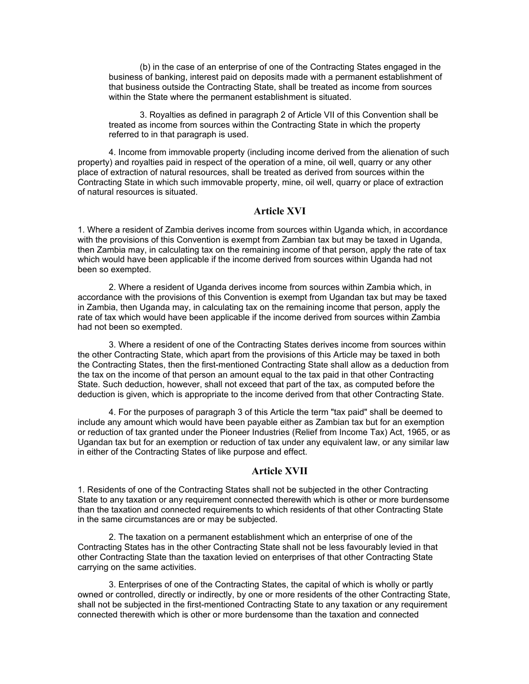(b) in the case of an enterprise of one of the Contracting States engaged in the business of banking, interest paid on deposits made with a permanent establishment of that business outside the Contracting State, shall be treated as income from sources within the State where the permanent establishment is situated.

3. Royalties as defined in paragraph 2 of Article VII of this Convention shall be treated as income from sources within the Contracting State in which the property referred to in that paragraph is used.

4. Income from immovable property (including income derived from the alienation of such property) and royalties paid in respect of the operation of a mine, oil well, quarry or any other place of extraction of natural resources, shall be treated as derived from sources within the Contracting State in which such immovable property, mine, oil well, quarry or place of extraction of natural resources is situated.

## **Article XVI**

1. Where a resident of Zambia derives income from sources within Uganda which, in accordance with the provisions of this Convention is exempt from Zambian tax but may be taxed in Uganda, then Zambia may, in calculating tax on the remaining income of that person, apply the rate of tax which would have been applicable if the income derived from sources within Uganda had not been so exempted.

2. Where a resident of Uganda derives income from sources within Zambia which, in accordance with the provisions of this Convention is exempt from Ugandan tax but may be taxed in Zambia, then Uganda may, in calculating tax on the remaining income that person, apply the rate of tax which would have been applicable if the income derived from sources within Zambia had not been so exempted.

3. Where a resident of one of the Contracting States derives income from sources within the other Contracting State, which apart from the provisions of this Article may be taxed in both the Contracting States, then the first-mentioned Contracting State shall allow as a deduction from the tax on the income of that person an amount equal to the tax paid in that other Contracting State. Such deduction, however, shall not exceed that part of the tax, as computed before the deduction is given, which is appropriate to the income derived from that other Contracting State.

4. For the purposes of paragraph 3 of this Article the term "tax paid" shall be deemed to include any amount which would have been payable either as Zambian tax but for an exemption or reduction of tax granted under the Pioneer Industries (Relief from Income Tax) Act, 1965, or as Ugandan tax but for an exemption or reduction of tax under any equivalent law, or any similar law in either of the Contracting States of like purpose and effect.

#### **Article XVII**

1. Residents of one of the Contracting States shall not be subjected in the other Contracting State to any taxation or any requirement connected therewith which is other or more burdensome than the taxation and connected requirements to which residents of that other Contracting State in the same circumstances are or may be subjected.

2. The taxation on a permanent establishment which an enterprise of one of the Contracting States has in the other Contracting State shall not be less favourably levied in that other Contracting State than the taxation levied on enterprises of that other Contracting State carrying on the same activities.

3. Enterprises of one of the Contracting States, the capital of which is wholly or partly owned or controlled, directly or indirectly, by one or more residents of the other Contracting State, shall not be subjected in the first-mentioned Contracting State to any taxation or any requirement connected therewith which is other or more burdensome than the taxation and connected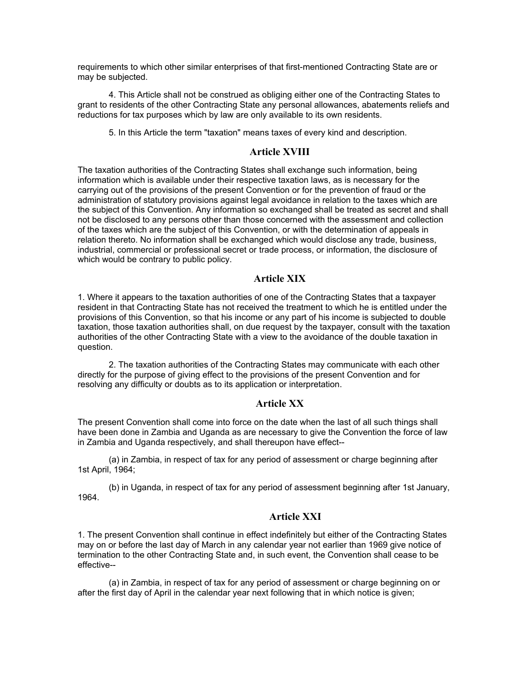requirements to which other similar enterprises of that first-mentioned Contracting State are or may be subjected.

4. This Article shall not be construed as obliging either one of the Contracting States to grant to residents of the other Contracting State any personal allowances, abatements reliefs and reductions for tax purposes which by law are only available to its own residents.

5. In this Article the term "taxation" means taxes of every kind and description.

## **Article XVIII**

The taxation authorities of the Contracting States shall exchange such information, being information which is available under their respective taxation laws, as is necessary for the carrying out of the provisions of the present Convention or for the prevention of fraud or the administration of statutory provisions against legal avoidance in relation to the taxes which are the subject of this Convention. Any information so exchanged shall be treated as secret and shall not be disclosed to any persons other than those concerned with the assessment and collection of the taxes which are the subject of this Convention, or with the determination of appeals in relation thereto. No information shall be exchanged which would disclose any trade, business, industrial, commercial or professional secret or trade process, or information, the disclosure of which would be contrary to public policy.

## **Article XIX**

1. Where it appears to the taxation authorities of one of the Contracting States that a taxpayer resident in that Contracting State has not received the treatment to which he is entitled under the provisions of this Convention, so that his income or any part of his income is subjected to double taxation, those taxation authorities shall, on due request by the taxpayer, consult with the taxation authorities of the other Contracting State with a view to the avoidance of the double taxation in question.

2. The taxation authorities of the Contracting States may communicate with each other directly for the purpose of giving effect to the provisions of the present Convention and for resolving any difficulty or doubts as to its application or interpretation.

#### **Article XX**

The present Convention shall come into force on the date when the last of all such things shall have been done in Zambia and Uganda as are necessary to give the Convention the force of law in Zambia and Uganda respectively, and shall thereupon have effect--

(a) in Zambia, in respect of tax for any period of assessment or charge beginning after 1st April, 1964;

(b) in Uganda, in respect of tax for any period of assessment beginning after 1st January, 1964.

# **Article XXI**

1. The present Convention shall continue in effect indefinitely but either of the Contracting States may on or before the last day of March in any calendar year not earlier than 1969 give notice of termination to the other Contracting State and, in such event, the Convention shall cease to be effective--

(a) in Zambia, in respect of tax for any period of assessment or charge beginning on or after the first day of April in the calendar year next following that in which notice is given;